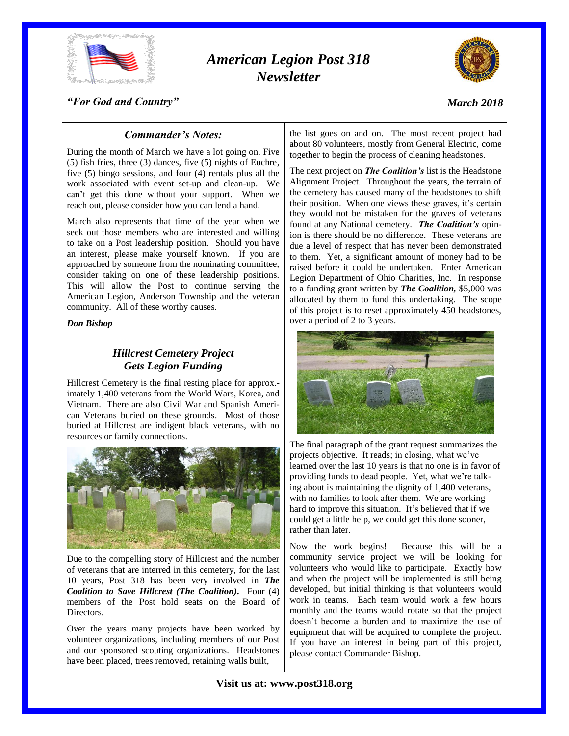

# *American Legion Post 318 Newsletter*



#### *"For God and Country"*

### *Commander's Notes:*

During the month of March we have a lot going on. Five (5) fish fries, three (3) dances, five (5) nights of Euchre, five (5) bingo sessions, and four (4) rentals plus all the work associated with event set-up and clean-up. We can't get this done without your support. When we reach out, please consider how you can lend a hand.

March also represents that time of the year when we seek out those members who are interested and willing to take on a Post leadership position. Should you have an interest, please make yourself known. If you are approached by someone from the nominating committee, consider taking on one of these leadership positions. This will allow the Post to continue serving the American Legion, Anderson Township and the veteran community. All of these worthy causes.

#### *Don Bishop*

### *Hillcrest Cemetery Project Gets Legion Funding*

Hillcrest Cemetery is the final resting place for approx. imately 1,400 veterans from the World Wars, Korea, and Vietnam. There are also Civil War and Spanish American Veterans buried on these grounds. Most of those buried at Hillcrest are indigent black veterans, with no resources or family connections.



Due to the compelling story of Hillcrest and the number of veterans that are interred in this cemetery, for the last 10 years, Post 318 has been very involved in *The Coalition to Save Hillcrest (The Coalition).* Four (4) members of the Post hold seats on the Board of **Directors** 

Over the years many projects have been worked by volunteer organizations, including members of our Post and our sponsored scouting organizations. Headstones have been placed, trees removed, retaining walls built,

the list goes on and on. The most recent project had about 80 volunteers, mostly from General Electric, come together to begin the process of cleaning headstones.

The next project on *The Coalition's* list is the Headstone Alignment Project. Throughout the years, the terrain of the cemetery has caused many of the headstones to shift their position. When one views these graves, it's certain they would not be mistaken for the graves of veterans found at any National cemetery. *The Coalition's* opinion is there should be no difference. These veterans are due a level of respect that has never been demonstrated to them. Yet, a significant amount of money had to be raised before it could be undertaken. Enter American Legion Department of Ohio Charities, Inc. In response to a funding grant written by *The Coalition,* \$5,000 was allocated by them to fund this undertaking. The scope of this project is to reset approximately 450 headstones, over a period of 2 to 3 years.



The final paragraph of the grant request summarizes the projects objective. It reads; in closing, what we've learned over the last 10 years is that no one is in favor of providing funds to dead people. Yet, what we're talking about is maintaining the dignity of 1,400 veterans, with no families to look after them. We are working hard to improve this situation. It's believed that if we could get a little help, we could get this done sooner, rather than later.

Now the work begins! Because this will be a community service project we will be looking for volunteers who would like to participate. Exactly how and when the project will be implemented is still being developed, but initial thinking is that volunteers would work in teams. Each team would work a few hours monthly and the teams would rotate so that the project doesn't become a burden and to maximize the use of equipment that will be acquired to complete the project. If you have an interest in being part of this project, please contact Commander Bishop.

**Visit us at: www.post318.org**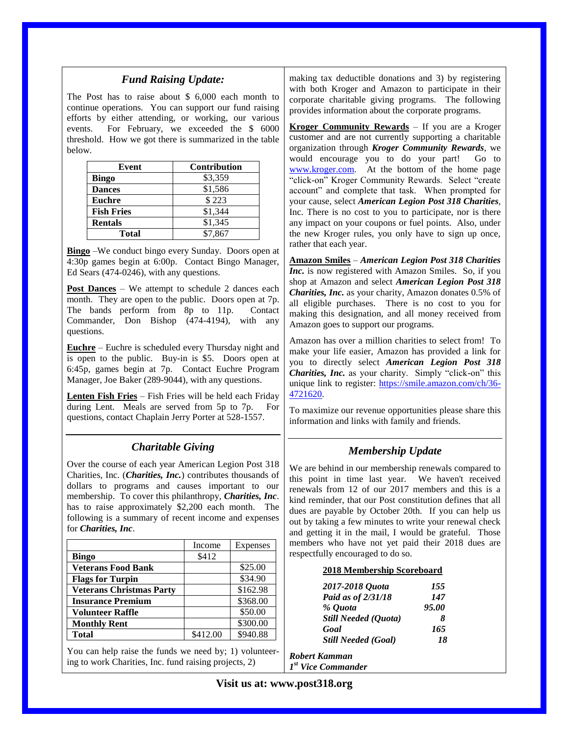### *Fund Raising Update:*

The Post has to raise about \$ 6,000 each month to continue operations. You can support our fund raising efforts by either attending, or working, our various events. For February, we exceeded the \$ 6000 threshold. How we got there is summarized in the table below.

| Event             | <b>Contribution</b> |
|-------------------|---------------------|
| <b>Bingo</b>      | \$3,359             |
| <b>Dances</b>     | \$1,586             |
| <b>Euchre</b>     | \$223               |
| <b>Fish Fries</b> | \$1,344             |
| <b>Rentals</b>    | \$1,345             |
| <b>Total</b>      | \$7,867             |

**Bingo** –We conduct bingo every Sunday. Doors open at 4:30p games begin at 6:00p. Contact Bingo Manager, Ed Sears (474-0246), with any questions.

**Post Dances** – We attempt to schedule 2 dances each month. They are open to the public. Doors open at 7p. The bands perform from 8p to 11p. Contact Commander, Don Bishop (474-4194), with any questions.

**Euchre** – Euchre is scheduled every Thursday night and is open to the public. Buy-in is \$5. Doors open at 6:45p, games begin at 7p. Contact Euchre Program Manager, Joe Baker (289-9044), with any questions.

**Lenten Fish Fries** – Fish Fries will be held each Friday during Lent. Meals are served from 5p to 7p. For questions, contact Chaplain Jerry Porter at 528-1557.

### *Charitable Giving*

Over the course of each year American Legion Post 318 Charities, Inc. (*Charities, Inc.*) contributes thousands of dollars to programs and causes important to our membership. To cover this philanthropy, *Charities, Inc*. has to raise approximately \$2,200 each month. The following is a summary of recent income and expenses for *Charities, Inc*.

|                                                        | Income   | Expenses |  |  |
|--------------------------------------------------------|----------|----------|--|--|
| <b>Bingo</b>                                           | \$412    |          |  |  |
| <b>Veterans Food Bank</b>                              |          | \$25.00  |  |  |
| <b>Flags for Turpin</b>                                |          | \$34.90  |  |  |
| <b>Veterans Christmas Party</b>                        |          | \$162.98 |  |  |
| <b>Insurance Premium</b>                               |          | \$368.00 |  |  |
| <b>Volunteer Raffle</b>                                |          | \$50.00  |  |  |
| <b>Monthly Rent</b>                                    |          | \$300.00 |  |  |
| <b>Total</b>                                           | \$412.00 | \$940.88 |  |  |
| You can help raise the funds we need by; 1) volunteer- |          |          |  |  |

ing to work Charities, Inc. fund raising projects, 2)

making tax deductible donations and 3) by registering with both Kroger and Amazon to participate in their corporate charitable giving programs. The following provides information about the corporate programs.

**Kroger Community Rewards** – If you are a Kroger customer and are not currently supporting a charitable organization through *Kroger Community Rewards*, we would encourage you to do your part! Go to [www.kroger.com.](http://www.kroger.com/) At the bottom of the home page "click-on" Kroger Community Rewards. Select "create account" and complete that task. When prompted for your cause, select *American Legion Post 318 Charities*, Inc. There is no cost to you to participate, nor is there any impact on your coupons or fuel points. Also, under the new Kroger rules, you only have to sign up once, rather that each year.

**Amazon Smiles** – *American Legion Post 318 Charities Inc.* is now registered with Amazon Smiles. So, if you shop at Amazon and select *American Legion Post 318 Charities, Inc.* as your charity, Amazon donates 0.5% of all eligible purchases. There is no cost to you for making this designation, and all money received from Amazon goes to support our programs.

Amazon has over a million charities to select from! To make your life easier, Amazon has provided a link for you to directly select *American Legion Post 318 Charities, Inc.* as your charity. Simply "click-on" this unique link to register: [https://smile.amazon.com/ch/36-](https://smile.amazon.com/ch/36-4721620) [4721620.](https://smile.amazon.com/ch/36-4721620)

To maximize our revenue opportunities please share this information and links with family and friends.

### *Membership Update*

We are behind in our membership renewals compared to this point in time last year. We haven't received renewals from 12 of our 2017 members and this is a kind reminder, that our Post constitution defines that all dues are payable by October 20th. If you can help us out by taking a few minutes to write your renewal check and getting it in the mail, I would be grateful. Those members who have not yet paid their 2018 dues are respectfully encouraged to do so.

#### **2018 Membership Scoreboard**

| 2017-2018 Quota            | 155   |
|----------------------------|-------|
| Paid as of 2/31/18         | 147   |
| % Ouota                    | 95.00 |
| Still Needed (Quota)       | х     |
| Goal                       | 165   |
| <b>Still Needed (Goal)</b> | 18    |

*Robert Kamman 1 st Vice Commander*

**Visit us at: www.post318.org**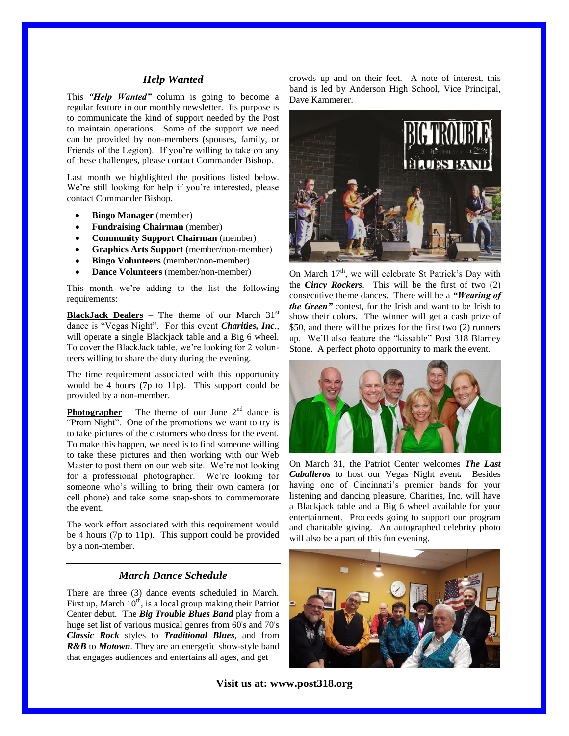#### *Help Wanted*

This *"Help Wanted"* column is going to become a regular feature in our monthly newsletter. Its purpose is to communicate the kind of support needed by the Post to maintain operations. Some of the support we need can be provided by non-members (spouses, family, or Friends of the Legion). If you're willing to take on any of these challenges, please contact Commander Bishop.

Last month we highlighted the positions listed below. We're still looking for help if you're interested, please contact Commander Bishop.

- **Bingo Manager** (member)
- **Fundraising Chairman** (member)
- **Community Support Chairman** (member)
- **Graphics Arts Support** (member/non-member)
- **Bingo Volunteers** (member/non-member)
- **Dance Volunteers** (member/non-member)

This month we're adding to the list the following requirements:

**BlackJack Dealers** – The theme of our March 31<sup>st</sup> dance is "Vegas Night". For this event *Charities, Inc*., will operate a single Blackjack table and a Big 6 wheel. To cover the BlackJack table, we're looking for 2 volunteers willing to share the duty during the evening.

The time requirement associated with this opportunity would be 4 hours (7p to 11p). This support could be provided by a non-member.

**Photographer** – The theme of our June  $2<sup>nd</sup>$  dance is "Prom Night". One of the promotions we want to try is to take pictures of the customers who dress for the event. To make this happen, we need is to find someone willing to take these pictures and then working with our Web Master to post them on our web site. We're not looking for a professional photographer. We're looking for someone who's willing to bring their own camera (or cell phone) and take some snap-shots to commemorate the event.

The work effort associated with this requirement would be 4 hours (7p to 11p). This support could be provided by a non-member.

#### *March Dance Schedule*

There are three (3) dance events scheduled in March. First up, March  $10<sup>th</sup>$ , is a local group making their Patriot Center debut. The *Big Trouble Blues Band* play from a huge set list of various musical genres from 60's and 70's *Classic Rock* styles to *Traditional Blues*, and from *R&B* to *Motown*. They are an energetic show-style band that engages audiences and entertains all ages, and get

crowds up and on their feet. A note of interest, this band is led by Anderson High School, Vice Principal, Dave Kammerer.



On March  $17<sup>th</sup>$ , we will celebrate St Patrick's Day with the *Cincy Rockers*. This will be the first of two (2) consecutive theme dances. There will be a *"Wearing of the Green"* contest, for the Irish and want to be Irish to show their colors. The winner will get a cash prize of \$50, and there will be prizes for the first two (2) runners up. We'll also feature the "kissable" Post 318 Blarney Stone. A perfect photo opportunity to mark the event.



On March 31, the Patriot Center welcomes *The Last Caballeros* to host our Vegas Night event*.* Besides having one of Cincinnati's premier bands for your listening and dancing pleasure, Charities, Inc. will have a Blackjack table and a Big 6 wheel available for your entertainment. Proceeds going to support our program and charitable giving. An autographed celebrity photo will also be a part of this fun evening.



**Visit us at: www.post318.org**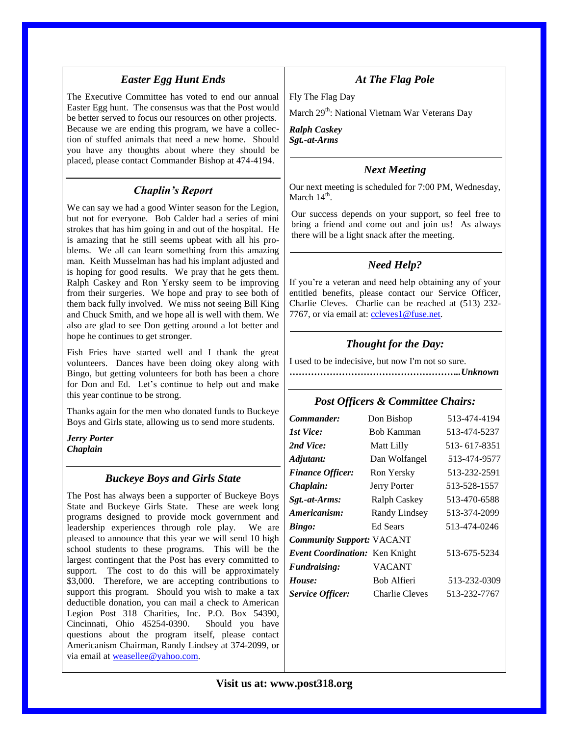### *Easter Egg Hunt Ends*

The Executive Committee has voted to end our annual Easter Egg hunt. The consensus was that the Post would be better served to focus our resources on other projects. Because we are ending this program, we have a collection of stuffed animals that need a new home. Should you have any thoughts about where they should be placed, please contact Commander Bishop at 474-4194.

### *Chaplin's Report*

We can say we had a good Winter season for the Legion, but not for everyone. Bob Calder had a series of mini strokes that has him going in and out of the hospital. He is amazing that he still seems upbeat with all his problems. We all can learn something from this amazing man. Keith Musselman has had his implant adjusted and is hoping for good results. We pray that he gets them. Ralph Caskey and Ron Yersky seem to be improving from their surgeries. We hope and pray to see both of them back fully involved. We miss not seeing Bill King and Chuck Smith, and we hope all is well with them. We also are glad to see Don getting around a lot better and hope he continues to get stronger.

Fish Fries have started well and I thank the great volunteers. Dances have been doing okey along with Bingo, but getting volunteers for both has been a chore for Don and Ed. Let's continue to help out and make this year continue to be strong.

Thanks again for the men who donated funds to Buckeye Boys and Girls state, allowing us to send more students.

*Jerry Porter Chaplain*

#### *Buckeye Boys and Girls State*

The Post has always been a supporter of Buckeye Boys State and Buckeye Girls State. These are week long programs designed to provide mock government and leadership experiences through role play. We are pleased to announce that this year we will send 10 high school students to these programs. This will be the largest contingent that the Post has every committed to support. The cost to do this will be approximately \$3,000. Therefore, we are accepting contributions to support this program. Should you wish to make a tax deductible donation, you can mail a check to American Legion Post 318 Charities, Inc. P.O. Box 54390, Cincinnati, Ohio 45254-0390. Should you have questions about the program itself, please contact Americanism Chairman, Randy Lindsey at 374-2099, or via email at [weasellee@yahoo.com.](mailto:weasellee@yahoo.com)

# *At The Flag Pole*

Fly The Flag Day

March 29<sup>th</sup>: National Vietnam War Veterans Day

*Ralph Caskey Sgt.-at-Arms*

#### *Next Meeting*

Our next meeting is scheduled for 7:00 PM, Wednesday, March  $14^{\text{th}}$ .

Our success depends on your support, so feel free to bring a friend and come out and join us! As always there will be a light snack after the meeting.

# *Need Help?*

If you're a veteran and need help obtaining any of your entitled benefits, please contact our Service Officer, Charlie Cleves. Charlie can be reached at (513) 232 7767, or via email at: [ccleves1@fuse.net.](mailto:ccleves1@fuse.net)

### *Thought for the Day:*

I used to be indecisive, but now I'm not so sure.

*………………………………………………..Unknown*

#### *Post Officers & Committee Chairs:*

| Commander:                       | Don Bishop        | 513-474-4194 |  |
|----------------------------------|-------------------|--------------|--|
| 1st Vice:                        | <b>Bob Kamman</b> | 513-474-5237 |  |
| 2nd Vice:                        | Matt Lilly        | 513-617-8351 |  |
| Adjutant:                        | Dan Wolfangel     | 513-474-9577 |  |
| <b>Finance Officer:</b>          | Ron Yersky        | 513-232-2591 |  |
| Chaplain:                        | Jerry Porter      | 513-528-1557 |  |
| Sgt.-at-Arms:                    | Ralph Caskey      | 513-470-6588 |  |
| Americanism:                     | Randy Lindsey     | 513-374-2099 |  |
| Bingo:                           | <b>Ed Sears</b>   | 513-474-0246 |  |
| <b>Community Support: VACANT</b> |                   |              |  |
| Event Coordination: Ken Knight   |                   | 513-675-5234 |  |
| <b>Fundraising:</b>              | VACANT            |              |  |
| House:                           | Bob Alfieri       | 513-232-0309 |  |
| <b>Service Officer:</b>          | Charlie Cleves    | 513-232-7767 |  |

### **Visit us at: www.post318.org**